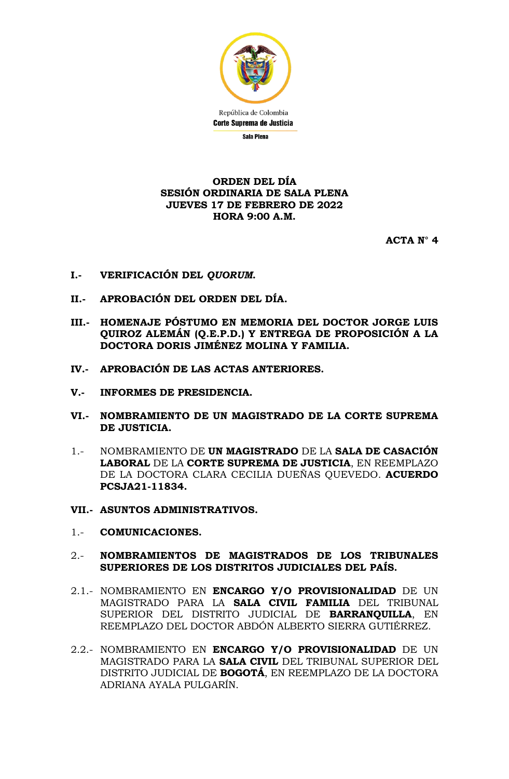

## **ORDEN DEL DÍA SESIÓN ORDINARIA DE SALA PLENA JUEVES 17 DE FEBRERO DE 2022 HORA 9:00 A.M.**

**ACTA N° 4**

- **I.- VERIFICACIÓN DEL** *QUORUM***.**
- **II.- APROBACIÓN DEL ORDEN DEL DÍA.**
- **III.- HOMENAJE PÓSTUMO EN MEMORIA DEL DOCTOR JORGE LUIS QUIROZ ALEMÁN (Q.E.P.D.) Y ENTREGA DE PROPOSICIÓN A LA DOCTORA DORIS JIMÉNEZ MOLINA Y FAMILIA.**
- **IV.- APROBACIÓN DE LAS ACTAS ANTERIORES.**
- **V.- INFORMES DE PRESIDENCIA.**
- **VI.- NOMBRAMIENTO DE UN MAGISTRADO DE LA CORTE SUPREMA DE JUSTICIA.**
- 1.- NOMBRAMIENTO DE **UN MAGISTRADO** DE LA **SALA DE CASACIÓN LABORAL** DE LA **CORTE SUPREMA DE JUSTICIA**, EN REEMPLAZO DE LA DOCTORA CLARA CECILIA DUEÑAS QUEVEDO. **ACUERDO PCSJA21-11834.**
- **VII.- ASUNTOS ADMINISTRATIVOS.**
- 1.- **COMUNICACIONES.**
- 2.- **NOMBRAMIENTOS DE MAGISTRADOS DE LOS TRIBUNALES SUPERIORES DE LOS DISTRITOS JUDICIALES DEL PAÍS.**
- 2.1.- NOMBRAMIENTO EN **ENCARGO Y/O PROVISIONALIDAD** DE UN MAGISTRADO PARA LA **SALA CIVIL FAMILIA** DEL TRIBUNAL SUPERIOR DEL DISTRITO JUDICIAL DE **BARRANQUILLA**, EN REEMPLAZO DEL DOCTOR ABDÓN ALBERTO SIERRA GUTIÉRREZ.
- 2.2.- NOMBRAMIENTO EN **ENCARGO Y/O PROVISIONALIDAD** DE UN MAGISTRADO PARA LA **SALA CIVIL** DEL TRIBUNAL SUPERIOR DEL DISTRITO JUDICIAL DE **BOGOTÁ**, EN REEMPLAZO DE LA DOCTORA ADRIANA AYALA PULGARÍN.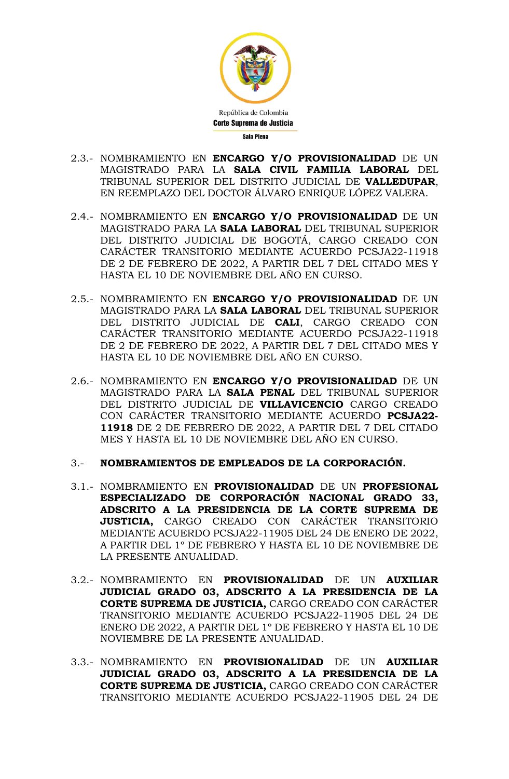

- 2.3.- NOMBRAMIENTO EN **ENCARGO Y/O PROVISIONALIDAD** DE UN MAGISTRADO PARA LA **SALA CIVIL FAMILIA LABORAL** DEL TRIBUNAL SUPERIOR DEL DISTRITO JUDICIAL DE **VALLEDUPAR**, EN REEMPLAZO DEL DOCTOR ÁLVARO ENRIQUE LÓPEZ VALERA.
- 2.4.- NOMBRAMIENTO EN **ENCARGO Y/O PROVISIONALIDAD** DE UN MAGISTRADO PARA LA **SALA LABORAL** DEL TRIBUNAL SUPERIOR DEL DISTRITO JUDICIAL DE BOGOTÁ, CARGO CREADO CON CARÁCTER TRANSITORIO MEDIANTE ACUERDO PCSJA22-11918 DE 2 DE FEBRERO DE 2022, A PARTIR DEL 7 DEL CITADO MES Y HASTA EL 10 DE NOVIEMBRE DEL AÑO EN CURSO.
- 2.5.- NOMBRAMIENTO EN **ENCARGO Y/O PROVISIONALIDAD** DE UN MAGISTRADO PARA LA **SALA LABORAL** DEL TRIBUNAL SUPERIOR DEL DISTRITO JUDICIAL DE **CALI**, CARGO CREADO CON CARÁCTER TRANSITORIO MEDIANTE ACUERDO PCSJA22-11918 DE 2 DE FEBRERO DE 2022, A PARTIR DEL 7 DEL CITADO MES Y HASTA EL 10 DE NOVIEMBRE DEL AÑO EN CURSO.
- 2.6.- NOMBRAMIENTO EN **ENCARGO Y/O PROVISIONALIDAD** DE UN MAGISTRADO PARA LA **SALA PENAL** DEL TRIBUNAL SUPERIOR DEL DISTRITO JUDICIAL DE **VILLAVICENCIO** CARGO CREADO CON CARÁCTER TRANSITORIO MEDIANTE ACUERDO **PCSJA22- 11918** DE 2 DE FEBRERO DE 2022, A PARTIR DEL 7 DEL CITADO MES Y HASTA EL 10 DE NOVIEMBRE DEL AÑO EN CURSO.
- 3.- **NOMBRAMIENTOS DE EMPLEADOS DE LA CORPORACIÓN.**
- 3.1.- NOMBRAMIENTO EN **PROVISIONALIDAD** DE UN **PROFESIONAL ESPECIALIZADO DE CORPORACIÓN NACIONAL GRADO 33, ADSCRITO A LA PRESIDENCIA DE LA CORTE SUPREMA DE JUSTICIA,** CARGO CREADO CON CARÁCTER TRANSITORIO MEDIANTE ACUERDO PCSJA22-11905 DEL 24 DE ENERO DE 2022, A PARTIR DEL 1º DE FEBRERO Y HASTA EL 10 DE NOVIEMBRE DE LA PRESENTE ANUALIDAD.
- 3.2.- NOMBRAMIENTO EN **PROVISIONALIDAD** DE UN **AUXILIAR JUDICIAL GRADO 03, ADSCRITO A LA PRESIDENCIA DE LA CORTE SUPREMA DE JUSTICIA,** CARGO CREADO CON CARÁCTER TRANSITORIO MEDIANTE ACUERDO PCSJA22-11905 DEL 24 DE ENERO DE 2022, A PARTIR DEL 1º DE FEBRERO Y HASTA EL 10 DE NOVIEMBRE DE LA PRESENTE ANUALIDAD.
- 3.3.- NOMBRAMIENTO EN **PROVISIONALIDAD** DE UN **AUXILIAR JUDICIAL GRADO 03, ADSCRITO A LA PRESIDENCIA DE LA CORTE SUPREMA DE JUSTICIA,** CARGO CREADO CON CARÁCTER TRANSITORIO MEDIANTE ACUERDO PCSJA22-11905 DEL 24 DE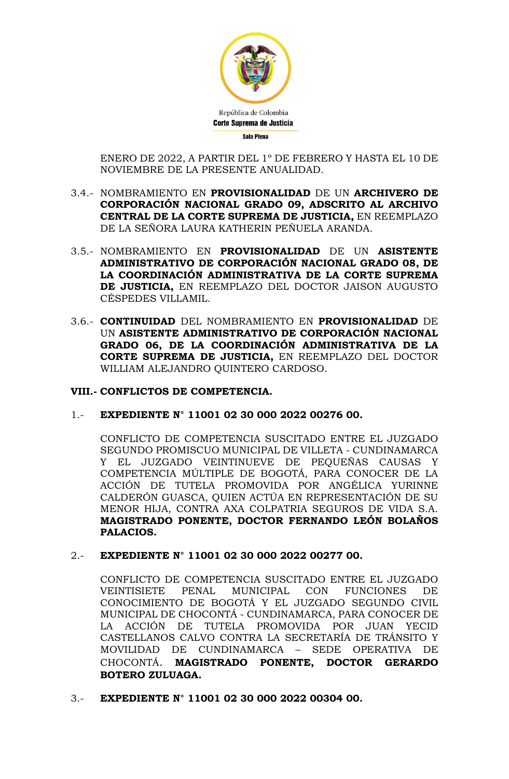

ENERO DE 2022, A PARTIR DEL 1º DE FEBRERO Y HASTA EL 10 DE NOVIEMBRE DE LA PRESENTE ANUALIDAD.

- 3.4.- NOMBRAMIENTO EN **PROVISIONALIDAD** DE UN **ARCHIVERO DE CORPORACIÓN NACIONAL GRADO 09, ADSCRITO AL ARCHIVO CENTRAL DE LA CORTE SUPREMA DE JUSTICIA,** EN REEMPLAZO DE LA SEÑORA LAURA KATHERIN PEÑUELA ARANDA.
- 3.5.- NOMBRAMIENTO EN **PROVISIONALIDAD** DE UN **ASISTENTE ADMINISTRATIVO DE CORPORACIÓN NACIONAL GRADO 08, DE LA COORDINACIÓN ADMINISTRATIVA DE LA CORTE SUPREMA DE JUSTICIA,** EN REEMPLAZO DEL DOCTOR JAISON AUGUSTO CÉSPEDES VILLAMIL.
- 3.6.- **CONTINUIDAD** DEL NOMBRAMIENTO EN **PROVISIONALIDAD** DE UN **ASISTENTE ADMINISTRATIVO DE CORPORACIÓN NACIONAL GRADO 06, DE LA COORDINACIÓN ADMINISTRATIVA DE LA CORTE SUPREMA DE JUSTICIA,** EN REEMPLAZO DEL DOCTOR WILLIAM ALEJANDRO QUINTERO CARDOSO.

## **VIII.- CONFLICTOS DE COMPETENCIA.**

1.- **EXPEDIENTE N° 11001 02 30 000 2022 00276 00.**

CONFLICTO DE COMPETENCIA SUSCITADO ENTRE EL JUZGADO SEGUNDO PROMISCUO MUNICIPAL DE VILLETA - CUNDINAMARCA Y EL JUZGADO VEINTINUEVE DE PEQUEÑAS CAUSAS Y COMPETENCIA MÚLTIPLE DE BOGOTÁ, PARA CONOCER DE LA ACCIÓN DE TUTELA PROMOVIDA POR ANGÉLICA YURINNE CALDERÓN GUASCA, QUIEN ACTÚA EN REPRESENTACIÓN DE SU MENOR HIJA, CONTRA AXA COLPATRIA SEGUROS DE VIDA S.A. **MAGISTRADO PONENTE, DOCTOR FERNANDO LEÓN BOLAÑOS PALACIOS.**

2.- **EXPEDIENTE N° 11001 02 30 000 2022 00277 00.**

CONFLICTO DE COMPETENCIA SUSCITADO ENTRE EL JUZGADO VEINTISIETE PENAL MUNICIPAL CON FUNCIONES DE CONOCIMIENTO DE BOGOTÁ Y EL JUZGADO SEGUNDO CIVIL MUNICIPAL DE CHOCONTÁ - CUNDINAMARCA, PARA CONOCER DE LA ACCIÓN DE TUTELA PROMOVIDA POR JUAN YECID CASTELLANOS CALVO CONTRA LA SECRETARÍA DE TRÁNSITO Y MOVILIDAD DE CUNDINAMARCA – SEDE OPERATIVA DE CHOCONTÁ. **MAGISTRADO PONENTE, DOCTOR GERARDO BOTERO ZULUAGA.**

3.- **EXPEDIENTE N° 11001 02 30 000 2022 00304 00.**